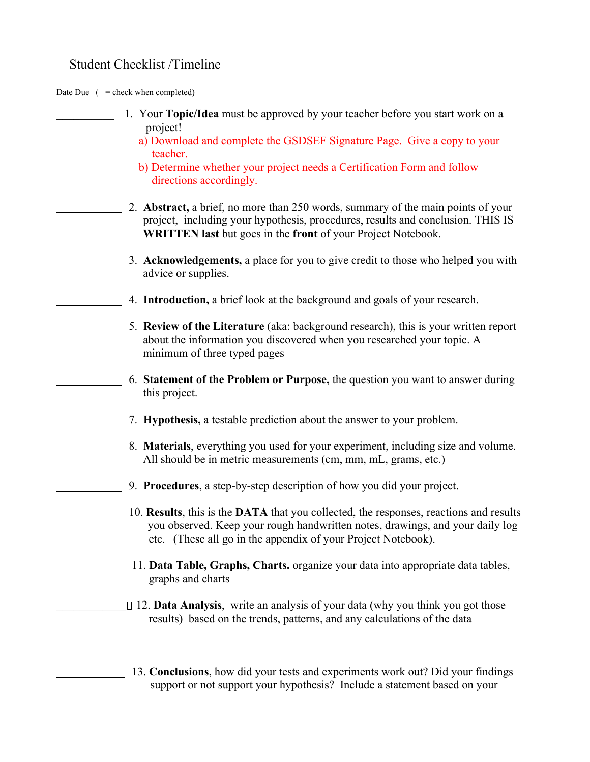### Student Checklist /Timeline

Date Due  $($  = check when completed)

| 1. Your Topic/Idea must be approved by your teacher before you start work on a                                                                                                                                                             |
|--------------------------------------------------------------------------------------------------------------------------------------------------------------------------------------------------------------------------------------------|
| project!<br>a) Download and complete the GSDSEF Signature Page. Give a copy to your<br>teacher.                                                                                                                                            |
| b) Determine whether your project needs a Certification Form and follow<br>directions accordingly.                                                                                                                                         |
| 2. Abstract, a brief, no more than 250 words, summary of the main points of your<br>project, including your hypothesis, procedures, results and conclusion. THIS IS<br><b>WRITTEN last</b> but goes in the front of your Project Notebook. |
| 3. Acknowledgements, a place for you to give credit to those who helped you with<br>advice or supplies.                                                                                                                                    |
| 4. <b>Introduction</b> , a brief look at the background and goals of your research.                                                                                                                                                        |
| 5. Review of the Literature (aka: background research), this is your written report<br>about the information you discovered when you researched your topic. A<br>minimum of three typed pages                                              |
| 6. Statement of the Problem or Purpose, the question you want to answer during<br>this project.                                                                                                                                            |
| 7. <b>Hypothesis,</b> a testable prediction about the answer to your problem.                                                                                                                                                              |
| 8. Materials, everything you used for your experiment, including size and volume.<br>All should be in metric measurements (cm, mm, mL, grams, etc.)                                                                                        |
| 9. Procedures, a step-by-step description of how you did your project.                                                                                                                                                                     |
| 10. Results, this is the DATA that you collected, the responses, reactions and results<br>you observed. Keep your rough handwritten notes, drawings, and your daily log<br>etc. (These all go in the appendix of your Project Notebook).   |
| 11. Data Table, Graphs, Charts. organize your data into appropriate data tables,<br>graphs and charts                                                                                                                                      |
| $\Box$ 12. <b>Data Analysis</b> , write an analysis of your data (why you think you got those<br>results) based on the trends, patterns, and any calculations of the data                                                                  |
| 13. Conclusions, how did your tests and experiments work out? Did your findings<br>support or not support your hypothesis? Include a statement based on your                                                                               |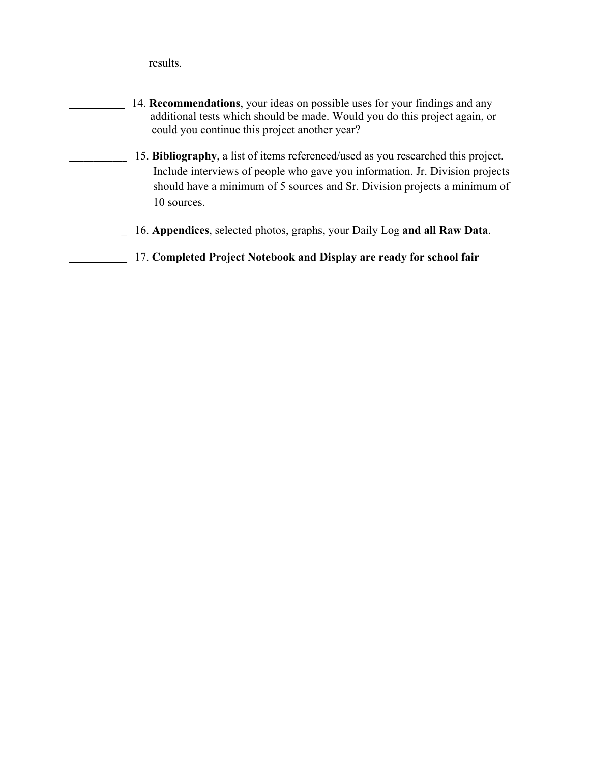results.

| 14. <b>Recommendations</b> , your ideas on possible uses for your findings and any<br>additional tests which should be made. Would you do this project again, or<br>could you continue this project another year?                                             |
|---------------------------------------------------------------------------------------------------------------------------------------------------------------------------------------------------------------------------------------------------------------|
| 15. Bibliography, a list of items referenced/used as you researched this project.<br>Include interviews of people who gave you information. Jr. Division projects<br>should have a minimum of 5 sources and Sr. Division projects a minimum of<br>10 sources. |
| 16. Appendices, selected photos, graphs, your Daily Log and all Raw Data.                                                                                                                                                                                     |
| 17. Completed Project Notebook and Display are ready for school fair                                                                                                                                                                                          |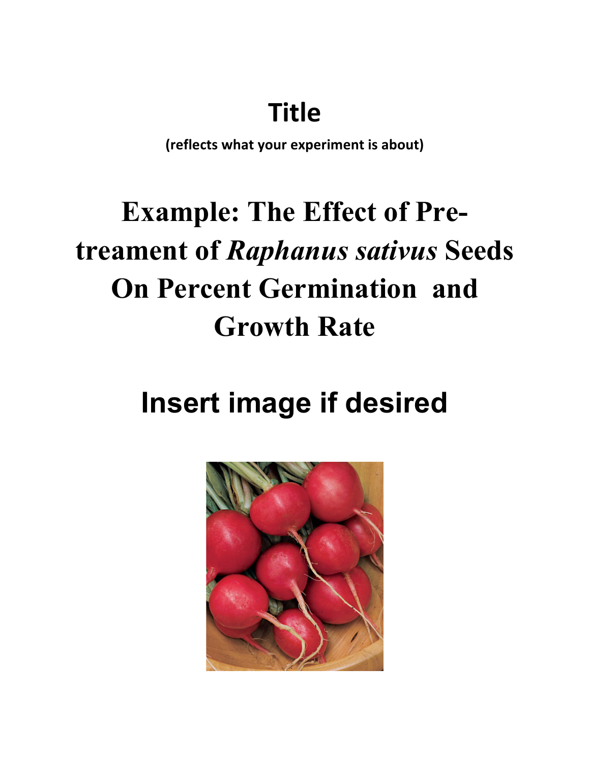## **Title**

**(reflects what your experiment is about)**

# **Example: The Effect of Pretreament of** *Raphanus sativus* **Seeds On Percent Germination and Growth Rate**

# **Insert image if desired**

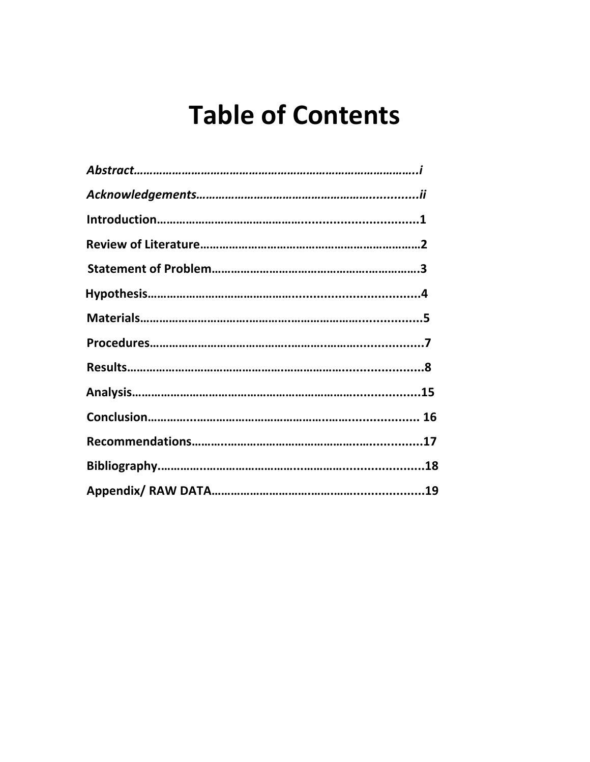## **Table of Contents**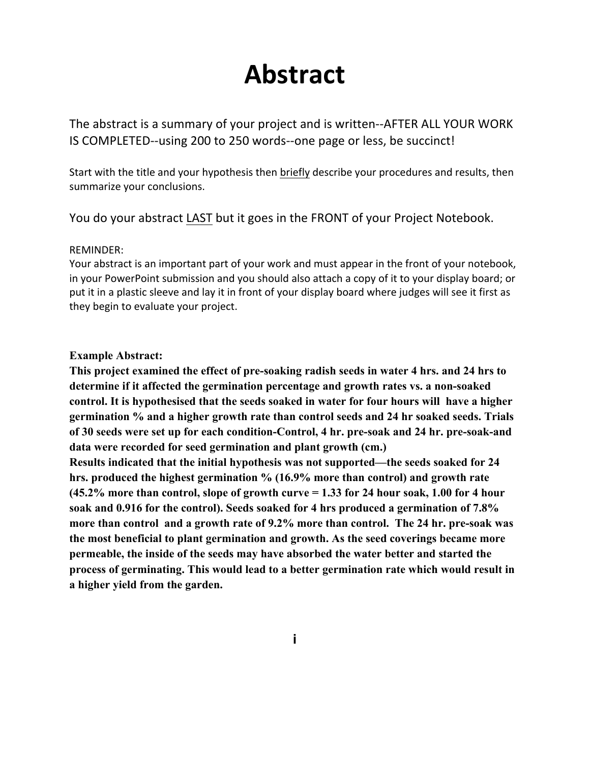## **Abstract**

The abstract is a summary of your project and is written--AFTER ALL YOUR WORK IS COMPLETED--using 200 to 250 words--one page or less, be succinct!

Start with the title and your hypothesis then briefly describe your procedures and results, then summarize your conclusions.

You do your abstract LAST but it goes in the FRONT of your Project Notebook.

#### REMINDER:

Your abstract is an important part of your work and must appear in the front of your notebook, in your PowerPoint submission and you should also attach a copy of it to your display board; or put it in a plastic sleeve and lay it in front of your display board where judges will see it first as they begin to evaluate your project.

#### **Example Abstract:**

**This project examined the effect of pre-soaking radish seeds in water 4 hrs. and 24 hrs to determine if it affected the germination percentage and growth rates vs. a non-soaked control. It is hypothesised that the seeds soaked in water for four hours will have a higher germination % and a higher growth rate than control seeds and 24 hr soaked seeds. Trials of 30 seeds were set up for each condition-Control, 4 hr. pre-soak and 24 hr. pre-soak-and data were recorded for seed germination and plant growth (cm.)** 

**Results indicated that the initial hypothesis was not supported—the seeds soaked for 24 hrs. produced the highest germination % (16.9% more than control) and growth rate (45.2% more than control, slope of growth curve = 1.33 for 24 hour soak, 1.00 for 4 hour soak and 0.916 for the control). Seeds soaked for 4 hrs produced a germination of 7.8% more than control and a growth rate of 9.2% more than control. The 24 hr. pre-soak was the most beneficial to plant germination and growth. As the seed coverings became more permeable, the inside of the seeds may have absorbed the water better and started the process of germinating. This would lead to a better germination rate which would result in a higher yield from the garden.**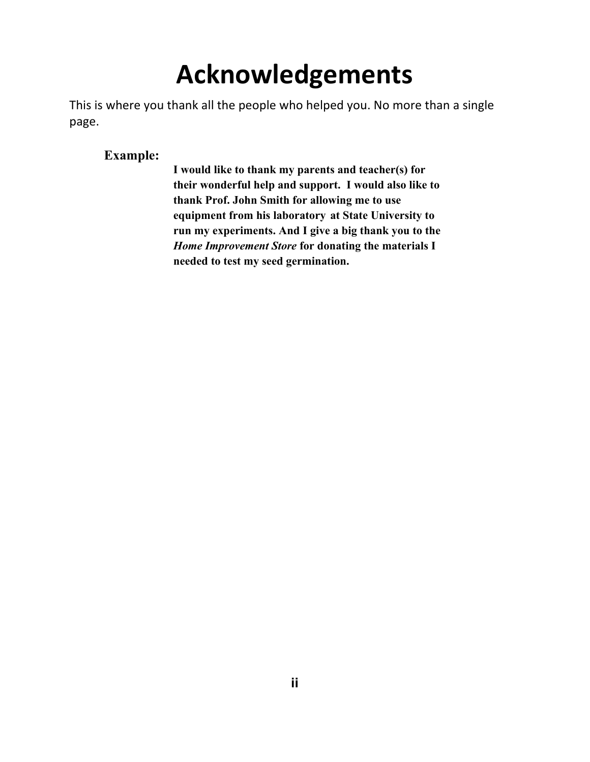# **Acknowledgements**

This is where you thank all the people who helped you. No more than a single page.

### **Example:**

**I would like to thank my parents and teacher(s) for their wonderful help and support. I would also like to thank Prof. John Smith for allowing me to use equipment from his laboratory at State University to run my experiments. And I give a big thank you to the**  *Home Improvement Store* **for donating the materials I needed to test my seed germination.**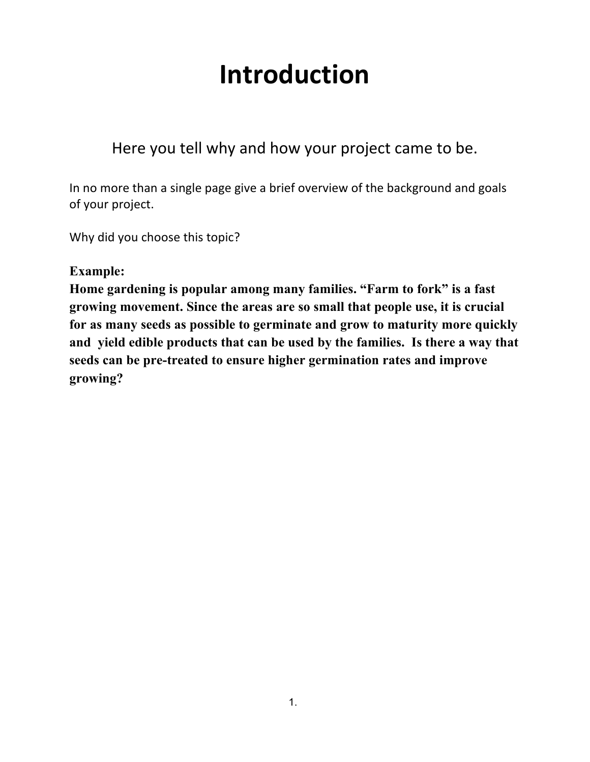## **Introduction**

Here you tell why and how your project came to be.

In no more than a single page give a brief overview of the background and goals of your project.

Why did you choose this topic?

### **Example:**

**Home gardening is popular among many families. "Farm to fork" is a fast growing movement. Since the areas are so small that people use, it is crucial for as many seeds as possible to germinate and grow to maturity more quickly and yield edible products that can be used by the families. Is there a way that seeds can be pre-treated to ensure higher germination rates and improve growing?**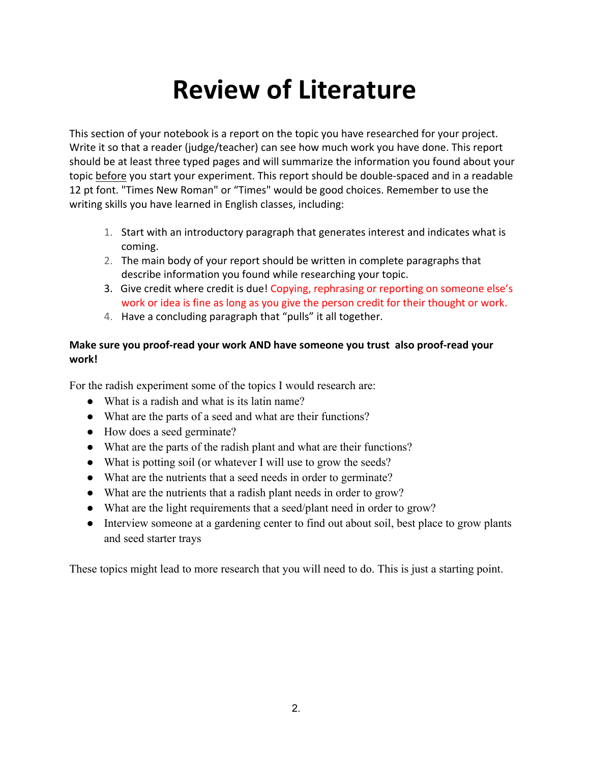## **Review of Literature**

This section of your notebook is a report on the topic you have researched for your project. Write it so that a reader (judge/teacher) can see how much work you have done. This report should be at least three typed pages and will summarize the information you found about your topic before you start your experiment. This report should be double-spaced and in a readable 12 pt font. "Times New Roman" or "Times" would be good choices. Remember to use the writing skills you have learned in English classes, including:

- 1. Start with an introductory paragraph that generates interest and indicates what is coming.
- 2. The main body of your report should be written in complete paragraphs that describe information you found while researching your topic.
- 3. Give credit where credit is due! Copying, rephrasing or reporting on someone else's work or idea is fine as long as you give the person credit for their thought or work.
- 4. Have a concluding paragraph that "pulls" it all together.

#### **Make sure you proof-read your work AND have someone you trust also proof-read your work!**

For the radish experiment some of the topics I would research are:

- What is a radish and what is its latin name?
- What are the parts of a seed and what are their functions?
- How does a seed germinate?
- What are the parts of the radish plant and what are their functions?
- What is potting soil (or whatever I will use to grow the seeds?
- What are the nutrients that a seed needs in order to germinate?
- What are the nutrients that a radish plant needs in order to grow?
- What are the light requirements that a seed/plant need in order to grow?
- Interview someone at a gardening center to find out about soil, best place to grow plants and seed starter trays

These topics might lead to more research that you will need to do. This is just a starting point.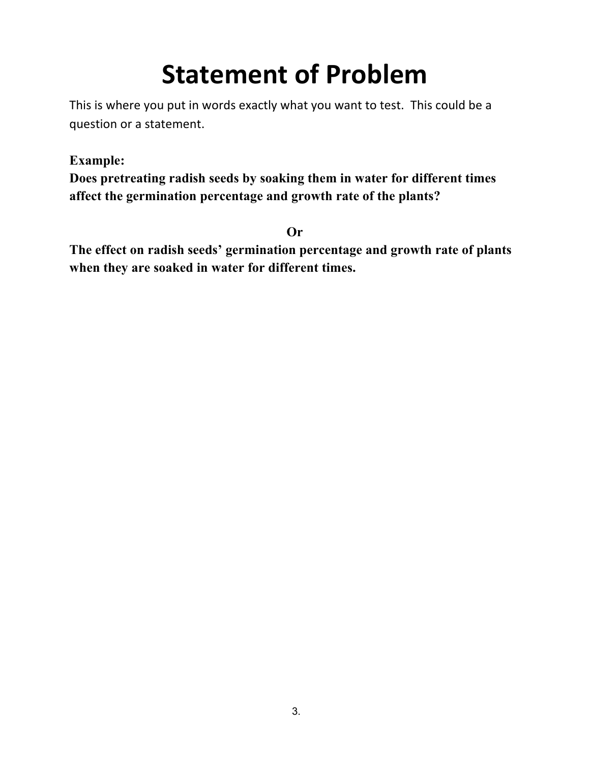# **Statement of Problem**

This is where you put in words exactly what you want to test. This could be a question or a statement.

### **Example:**

**Does pretreating radish seeds by soaking them in water for different times affect the germination percentage and growth rate of the plants?**

**Or**

**The effect on radish seeds' germination percentage and growth rate of plants when they are soaked in water for different times.**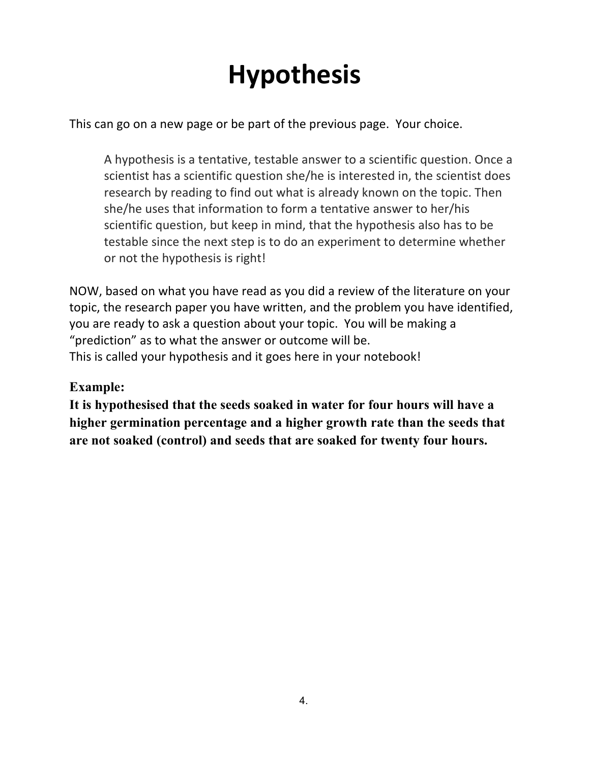# **Hypothesis**

This can go on a new page or be part of the previous page. Your choice.

A hypothesis is a tentative, testable answer to a scientific question. Once a scientist has a scientific question she/he is interested in, the scientist does research by reading to find out what is already known on the topic. Then she/he uses that information to form a tentative answer to her/his scientific question, but keep in mind, that the hypothesis also has to be testable since the next step is to do an experiment to determine whether or not the hypothesis is right!

NOW, based on what you have read as you did a review of the literature on your topic, the research paper you have written, and the problem you have identified, you are ready to ask a question about your topic. You will be making a "prediction" as to what the answer or outcome will be. This is called your hypothesis and it goes here in your notebook!

### **Example:**

**It is hypothesised that the seeds soaked in water for four hours will have a higher germination percentage and a higher growth rate than the seeds that are not soaked (control) and seeds that are soaked for twenty four hours.**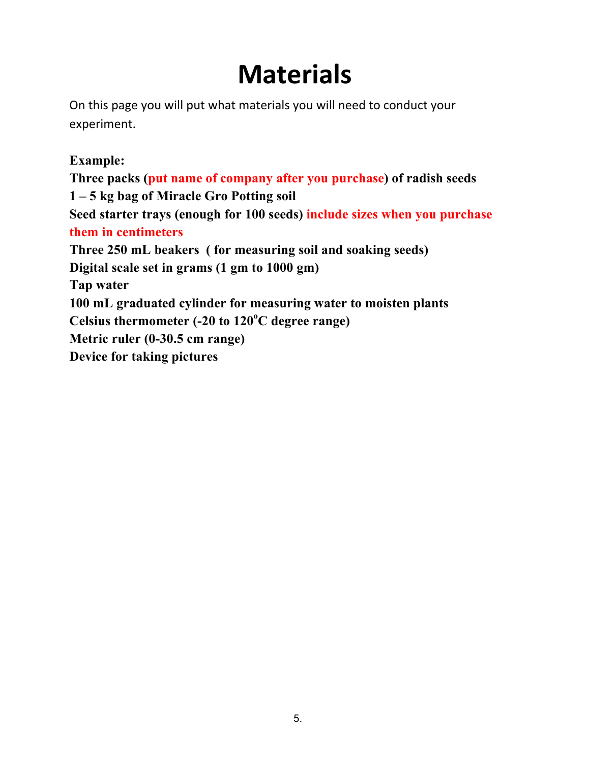## **Materials**

On this page you will put what materials you will need to conduct your experiment.

### **Example:**

**Three packs (put name of company after you purchase) of radish seeds 1 – 5 kg bag of Miracle Gro Potting soil Seed starter trays (enough for 100 seeds) include sizes when you purchase them in centimeters Three 250 mL beakers ( for measuring soil and soaking seeds) Digital scale set in grams (1 gm to 1000 gm) Tap water 100 mL graduated cylinder for measuring water to moisten plants Celsius thermometer (-20 to 120<sup>o</sup> C degree range) Metric ruler (0-30.5 cm range) Device for taking pictures**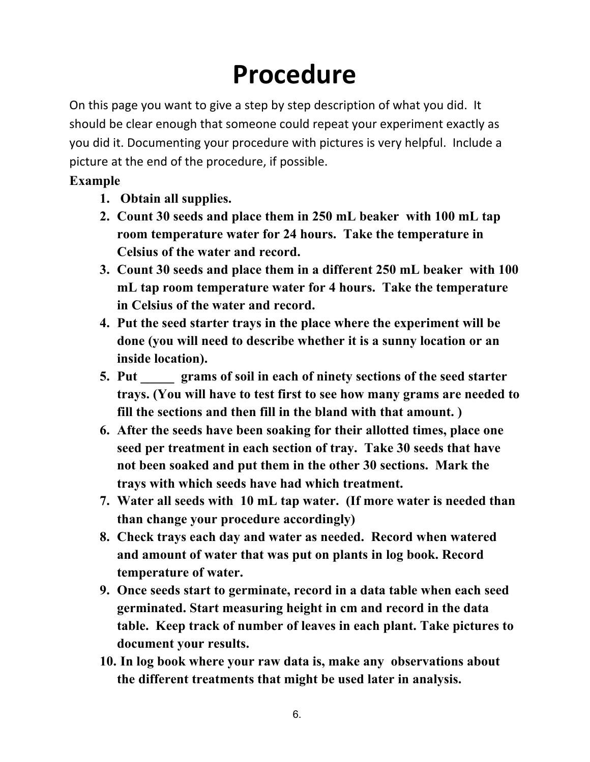# **Procedure**

On this page you want to give a step by step description of what you did. It should be clear enough that someone could repeat your experiment exactly as you did it. Documenting your procedure with pictures is very helpful. Include a picture at the end of the procedure, if possible.

## **Example**

- **1. Obtain all supplies.**
- **2. Count 30 seeds and place them in 250 mL beaker with 100 mL tap room temperature water for 24 hours. Take the temperature in Celsius of the water and record.**
- **3. Count 30 seeds and place them in a different 250 mL beaker with 100 mL tap room temperature water for 4 hours. Take the temperature in Celsius of the water and record.**
- **4. Put the seed starter trays in the place where the experiment will be done (you will need to describe whether it is a sunny location or an inside location).**
- **5. Put \_\_\_\_\_ grams of soil in each of ninety sections of the seed starter trays. (You will have to test first to see how many grams are needed to fill the sections and then fill in the bland with that amount. )**
- **6. After the seeds have been soaking for their allotted times, place one seed per treatment in each section of tray. Take 30 seeds that have not been soaked and put them in the other 30 sections. Mark the trays with which seeds have had which treatment.**
- **7. Water all seeds with 10 mL tap water. (If more water is needed than than change your procedure accordingly)**
- **8. Check trays each day and water as needed. Record when watered and amount of water that was put on plants in log book. Record temperature of water.**
- **9. Once seeds start to germinate, record in a data table when each seed germinated. Start measuring height in cm and record in the data table. Keep track of number of leaves in each plant. Take pictures to document your results.**
- **10. In log book where your raw data is, make any observations about the different treatments that might be used later in analysis.**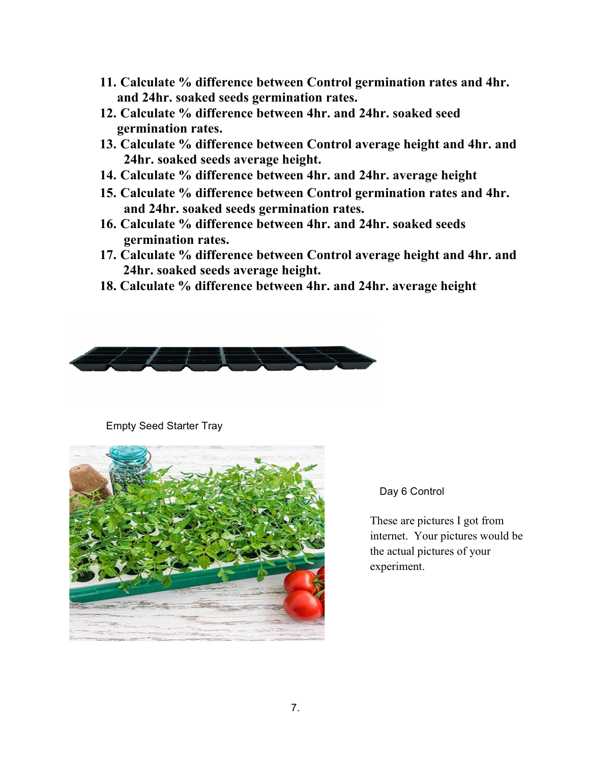- **11. Calculate % difference between Control germination rates and 4hr. and 24hr. soaked seeds germination rates.**
- **12. Calculate % difference between 4hr. and 24hr. soaked seed germination rates.**
- **13. Calculate % difference between Control average height and 4hr. and 24hr. soaked seeds average height.**
- **14. Calculate % difference between 4hr. and 24hr. average height**
- **15. Calculate % difference between Control germination rates and 4hr. and 24hr. soaked seeds germination rates.**
- **16. Calculate % difference between 4hr. and 24hr. soaked seeds germination rates.**
- **17. Calculate % difference between Control average height and 4hr. and 24hr. soaked seeds average height.**
- **18. Calculate % difference between 4hr. and 24hr. average height**



Empty Seed Starter Tray



Day 6 Control

These are pictures I got from internet. Your pictures would be the actual pictures of your experiment.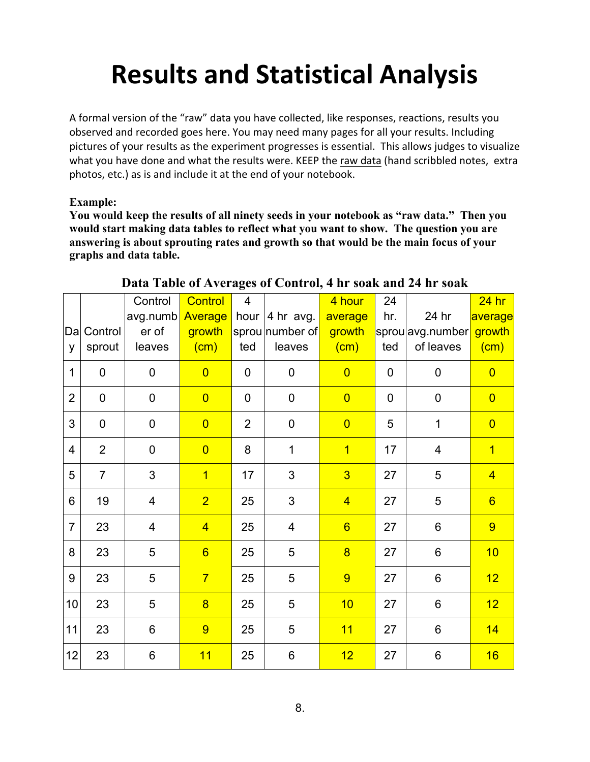# **Results and Statistical Analysis**

A formal version of the "raw" data you have collected, like responses, reactions, results you observed and recorded goes here. You may need many pages for all your results. Including pictures of your results as the experiment progresses is essential. This allows judges to visualize what you have done and what the results were. KEEP the raw data (hand scribbled notes, extra photos, etc.) as is and include it at the end of your notebook.

#### **Example:**

**You would keep the results of all ninety seeds in your notebook as "raw data." Then you would start making data tables to reflect what you want to show. The question you are answering is about sprouting rates and growth so that would be the main focus of your graphs and data table.**

|                |                | Control                 | <b>Control</b>  | $\overline{4}$ |                         | 4 hour          | 24          |                  | $24$ hr         |
|----------------|----------------|-------------------------|-----------------|----------------|-------------------------|-----------------|-------------|------------------|-----------------|
|                |                | avg.numb                | Average         | hour           | 4 hr avg.               | average         | hr.         | 24 hr            | average         |
| Dal            | Control        | er of                   | growth          |                | sprounumber of          | growth          |             | sprou avg.number | growth          |
| y              | sprout         | leaves                  | (cm)            | ted            | leaves                  | (cm)            | ted         | of leaves        | (cm)            |
| $\mathbf 1$    | $\mathbf 0$    | $\mathbf 0$             | $\overline{0}$  | $\mathbf 0$    | $\mathbf 0$             | $\overline{0}$  | $\mathbf 0$ | $\mathbf 0$      | $\overline{0}$  |
| $\overline{2}$ | $\mathbf 0$    | $\mathbf 0$             | $\overline{0}$  | $\mathbf 0$    | $\mathbf 0$             | $\overline{0}$  | $\mathbf 0$ | $\pmb{0}$        | $\overline{0}$  |
| 3              | $\mathbf 0$    | $\mathbf 0$             | $\overline{0}$  | $\overline{2}$ | $\mathbf 0$             | $\overline{0}$  | 5           | $\mathbf{1}$     | $\overline{0}$  |
| $\overline{4}$ | $\overline{2}$ | $\mathbf 0$             | $\overline{0}$  | 8              | 1                       | $\overline{1}$  | 17          | 4                | $\overline{1}$  |
| 5              | $\overline{7}$ | 3                       | $\overline{1}$  | 17             | 3                       | $\overline{3}$  | 27          | 5                | $\overline{4}$  |
| 6              | 19             | $\overline{\mathbf{4}}$ | $\overline{2}$  | 25             | 3                       | $\overline{4}$  | 27          | 5                | $6\overline{6}$ |
| $\overline{7}$ | 23             | $\overline{4}$          | $\overline{4}$  | 25             | $\overline{\mathbf{4}}$ | $6\overline{6}$ | 27          | $\,6$            | 9               |
| 8              | 23             | 5                       | $6\overline{6}$ | 25             | 5                       | $\overline{8}$  | 27          | $6\phantom{a}$   | 10              |
| 9              | 23             | 5                       | $\overline{7}$  | 25             | 5                       | 9               | 27          | $\,6$            | 12              |
| 10             | 23             | 5                       | $\overline{8}$  | 25             | 5                       | 10              | 27          | 6                | 12 <sub>2</sub> |
| 11             | 23             | 6                       | 9               | 25             | 5                       | 11              | 27          | 6                | 14              |
| 12             | 23             | 6                       | 11              | 25             | 6                       | 12              | 27          | 6                | 16              |

#### **Data Table of Averages of Control, 4 hr soak and 24 hr soak**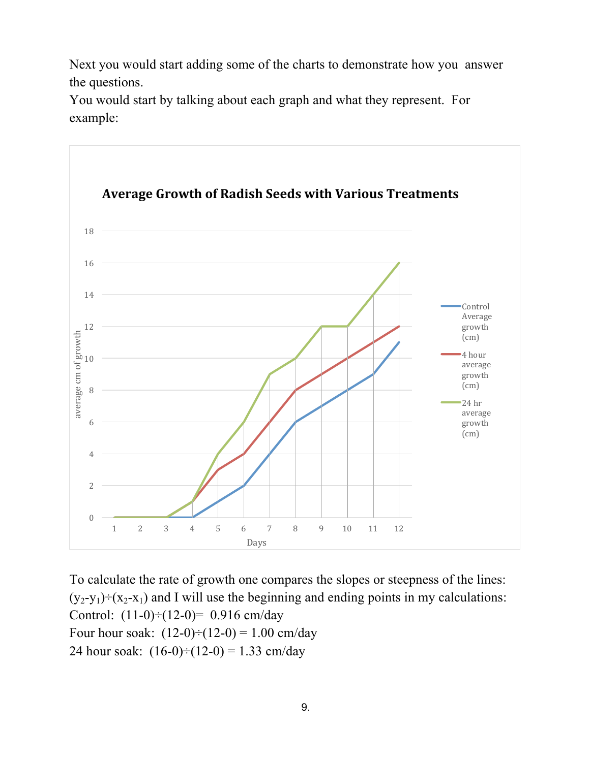Next you would start adding some of the charts to demonstrate how you answer the questions.

You would start by talking about each graph and what they represent. For example:



To calculate the rate of growth one compares the slopes or steepness of the lines:  $(y_2-y_1) \div (x_2-x_1)$  and I will use the beginning and ending points in my calculations: Control:  $(11-0) \div (12-0) = 0.916$  cm/day Four hour soak:  $(12-0) \div (12-0) = 1.00$  cm/day 24 hour soak:  $(16-0) \div (12-0) = 1.33$  cm/day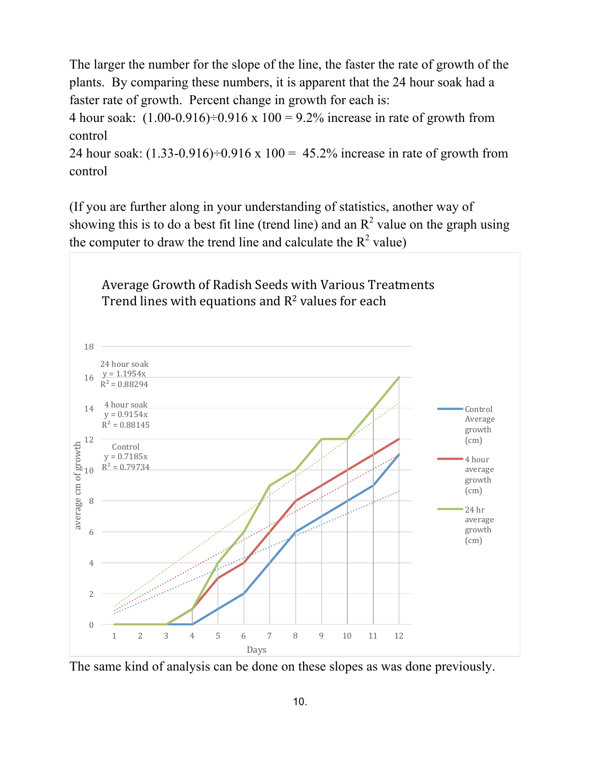The larger the number for the slope of the line, the faster the rate of growth of the plants. By comparing these numbers, it is apparent that the 24 hour soak had a faster rate of growth. Percent change in growth for each is:

4 hour soak:  $(1.00-0.916) \div 0.916 \times 100 = 9.2\%$  increase in rate of growth from control

24 hour soak:  $(1.33-0.916) \div 0.916 \times 100 = 45.2\%$  increase in rate of growth from control

(If you are further along in your understanding of statistics, another way of showing this is to do a best fit line (trend line) and an  $R^2$  value on the graph using the computer to draw the trend line and calculate the  $R^2$  value)



The same kind of analysis can be done on these slopes as was done previously.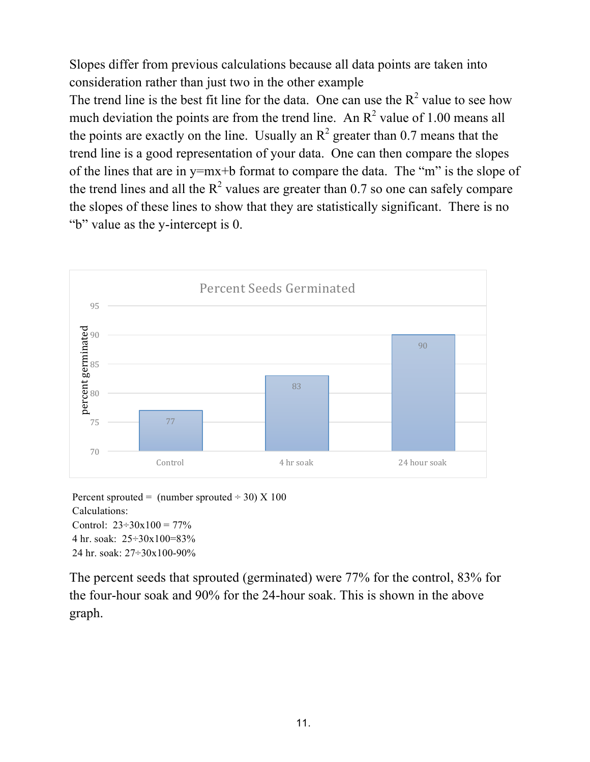Slopes differ from previous calculations because all data points are taken into consideration rather than just two in the other example

The trend line is the best fit line for the data. One can use the  $R^2$  value to see how much deviation the points are from the trend line. An  $R^2$  value of 1.00 means all the points are exactly on the line. Usually an  $\mathbb{R}^2$  greater than 0.7 means that the trend line is a good representation of your data. One can then compare the slopes of the lines that are in y=mx+b format to compare the data. The "m" is the slope of the trend lines and all the  $R^2$  values are greater than 0.7 so one can safely compare the slopes of these lines to show that they are statistically significant. There is no "b" value as the y-intercept is 0.



Percent sprouted = (number sprouted  $\div$  30) X 100 Calculations: Control:  $23 \div 30x100 = 77\%$ 4 hr. soak: 25÷30x100=83% 24 hr. soak: 27÷30x100-90%

The percent seeds that sprouted (germinated) were 77% for the control, 83% for the four-hour soak and 90% for the 24-hour soak. This is shown in the above graph.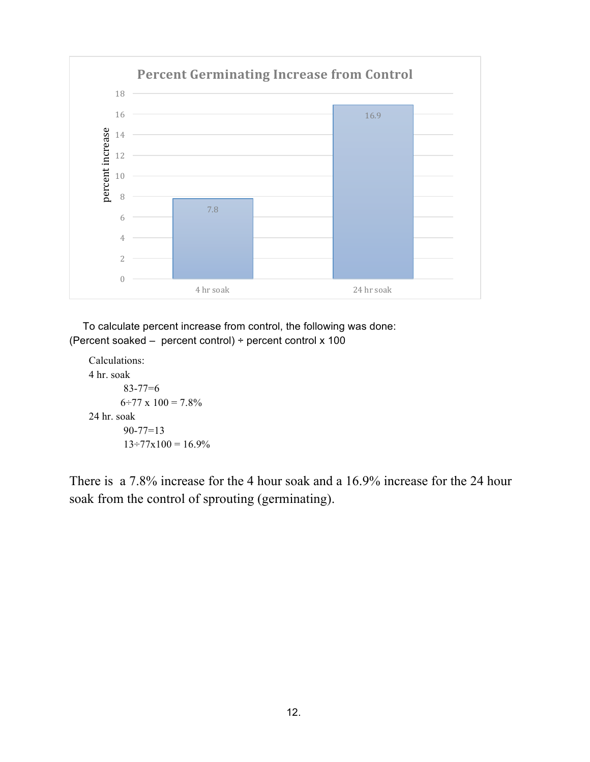

 To calculate percent increase from control, the following was done: (Percent soaked – percent control) ÷ percent control x 100

```
Calculations:
4 hr. soak 
       83-77=6
       6\div 77 x 100 = 7.8\%24 hr. soak
       90-77=13
        13 \div 77x100 = 16.9\%
```
There is a 7.8% increase for the 4 hour soak and a 16.9% increase for the 24 hour soak from the control of sprouting (germinating).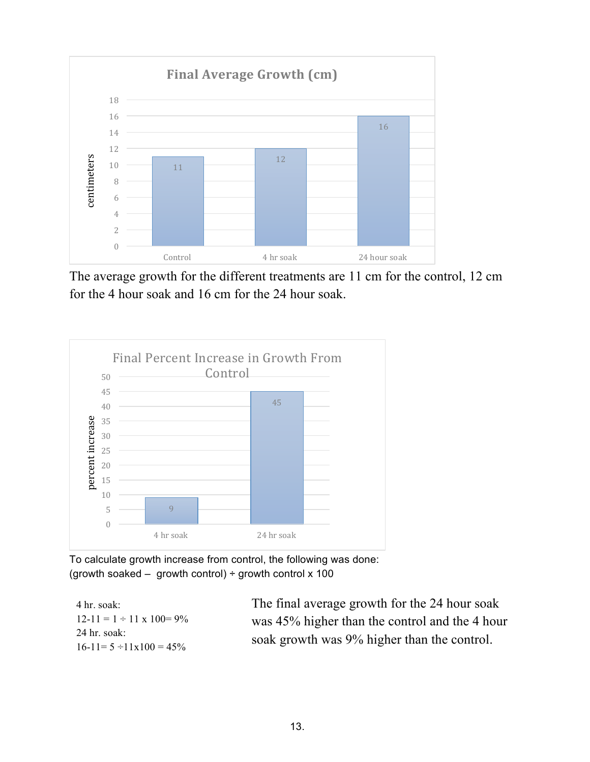

The average growth for the different treatments are 11 cm for the control, 12 cm for the 4 hour soak and 16 cm for the 24 hour soak.



To calculate growth increase from control, the following was done: (growth soaked – growth control)  $\div$  growth control x 100

| 4 hr. soak:                          | The final average growth for the 24 hour soak  |
|--------------------------------------|------------------------------------------------|
| $12-11 = 1 \div 11 \times 100 = 9\%$ | was 45% higher than the control and the 4 hour |
| 24 hr. soak:                         | soak growth was 9% higher than the control.    |
| $16-11=5 \div 11 \times 100 = 45\%$  |                                                |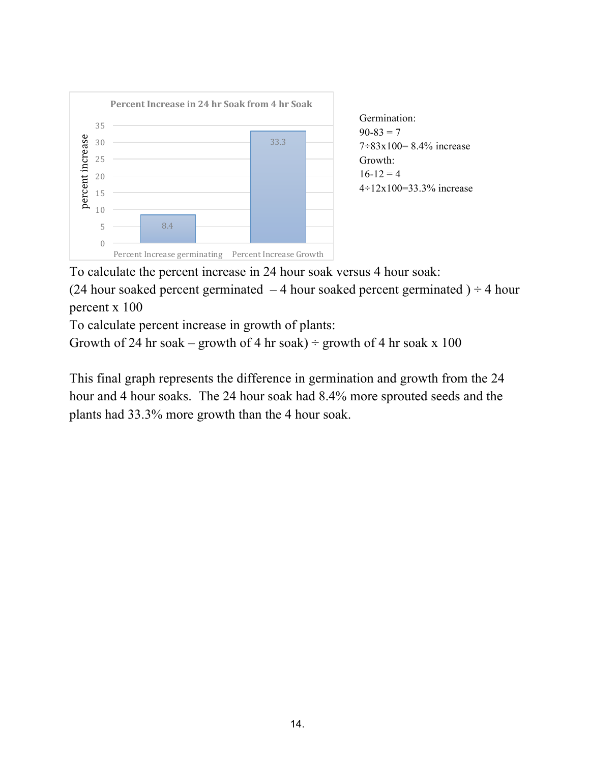

To calculate the percent increase in 24 hour soak versus 4 hour soak:

(24 hour soaked percent germinated  $-4$  hour soaked percent germinated )  $\div$  4 hour percent x 100

To calculate percent increase in growth of plants:

Growth of 24 hr soak – growth of 4 hr soak) ÷ growth of 4 hr soak x 100

This final graph represents the difference in germination and growth from the 24 hour and 4 hour soaks. The 24 hour soak had 8.4% more sprouted seeds and the plants had 33.3% more growth than the 4 hour soak.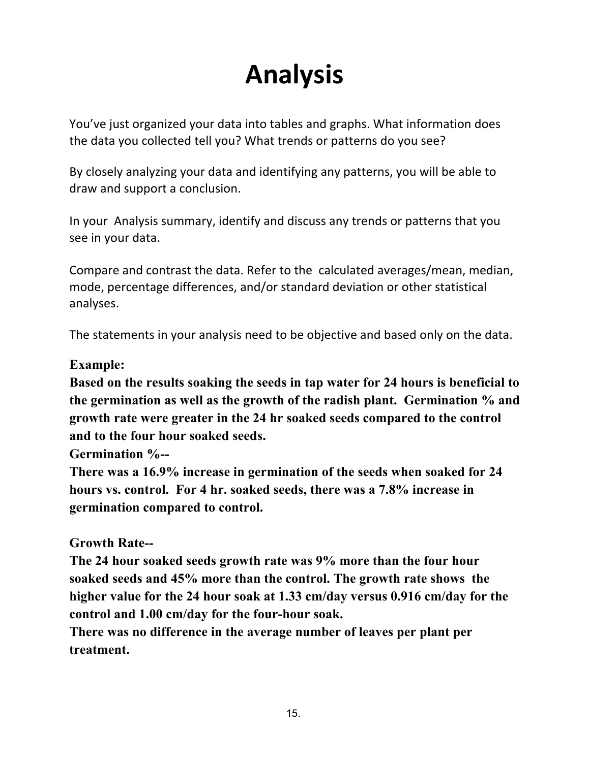# **Analysis**

You've just organized your data into tables and graphs. What information does the data you collected tell you? What trends or patterns do you see?

By closely analyzing your data and identifying any patterns, you will be able to draw and support a conclusion.

In your Analysis summary, identify and discuss any trends or patterns that you see in your data.

Compare and contrast the data. Refer to the calculated averages/mean, median, mode, percentage differences, and/or standard deviation or other statistical analyses.

The statements in your analysis need to be objective and based only on the data.

### **Example:**

**Based on the results soaking the seeds in tap water for 24 hours is beneficial to the germination as well as the growth of the radish plant. Germination % and growth rate were greater in the 24 hr soaked seeds compared to the control and to the four hour soaked seeds.** 

**Germination %--**

**There was a 16.9% increase in germination of the seeds when soaked for 24 hours vs. control. For 4 hr. soaked seeds, there was a 7.8% increase in germination compared to control.** 

### **Growth Rate--**

**The 24 hour soaked seeds growth rate was 9% more than the four hour soaked seeds and 45% more than the control. The growth rate shows the higher value for the 24 hour soak at 1.33 cm/day versus 0.916 cm/day for the control and 1.00 cm/day for the four-hour soak.**

**There was no difference in the average number of leaves per plant per treatment.**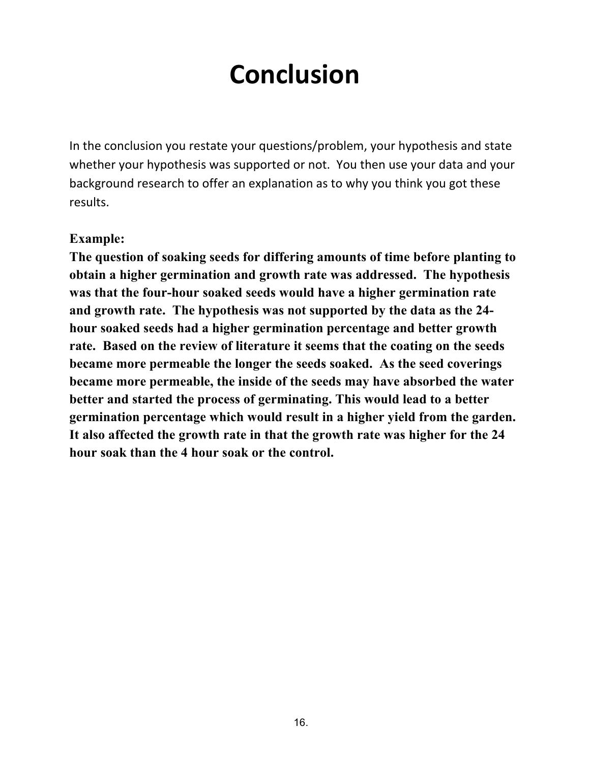## **Conclusion**

In the conclusion you restate your questions/problem, your hypothesis and state whether your hypothesis was supported or not. You then use your data and your background research to offer an explanation as to why you think you got these results.

#### **Example:**

**The question of soaking seeds for differing amounts of time before planting to obtain a higher germination and growth rate was addressed. The hypothesis was that the four-hour soaked seeds would have a higher germination rate and growth rate. The hypothesis was not supported by the data as the 24 hour soaked seeds had a higher germination percentage and better growth rate. Based on the review of literature it seems that the coating on the seeds became more permeable the longer the seeds soaked. As the seed coverings became more permeable, the inside of the seeds may have absorbed the water better and started the process of germinating. This would lead to a better germination percentage which would result in a higher yield from the garden. It also affected the growth rate in that the growth rate was higher for the 24 hour soak than the 4 hour soak or the control.**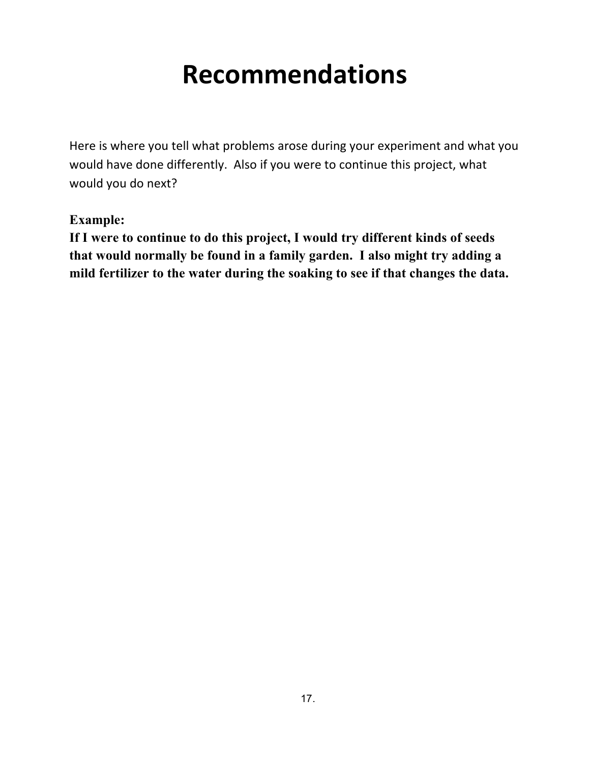## **Recommendations**

Here is where you tell what problems arose during your experiment and what you would have done differently. Also if you were to continue this project, what would you do next?

### **Example:**

**If I were to continue to do this project, I would try different kinds of seeds that would normally be found in a family garden. I also might try adding a mild fertilizer to the water during the soaking to see if that changes the data.**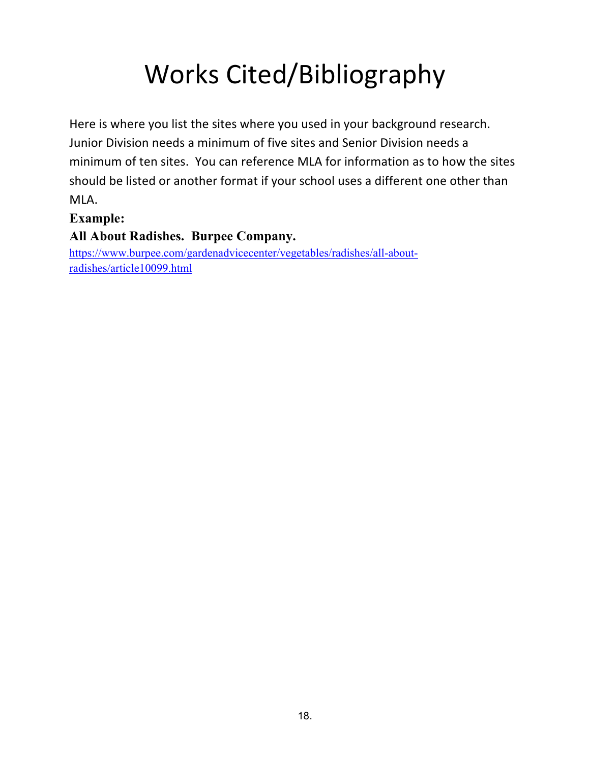# Works Cited/Bibliography

Here is where you list the sites where you used in your background research. Junior Division needs a minimum of five sites and Senior Division needs a minimum of ten sites. You can reference MLA for information as to how the sites should be listed or another format if your school uses a different one other than MLA.

### **Example:**

### **All About Radishes. Burpee Company.**

https://www.burpee.com/gardenadvicecenter/vegetables/radishes/all-aboutradishes/article10099.html